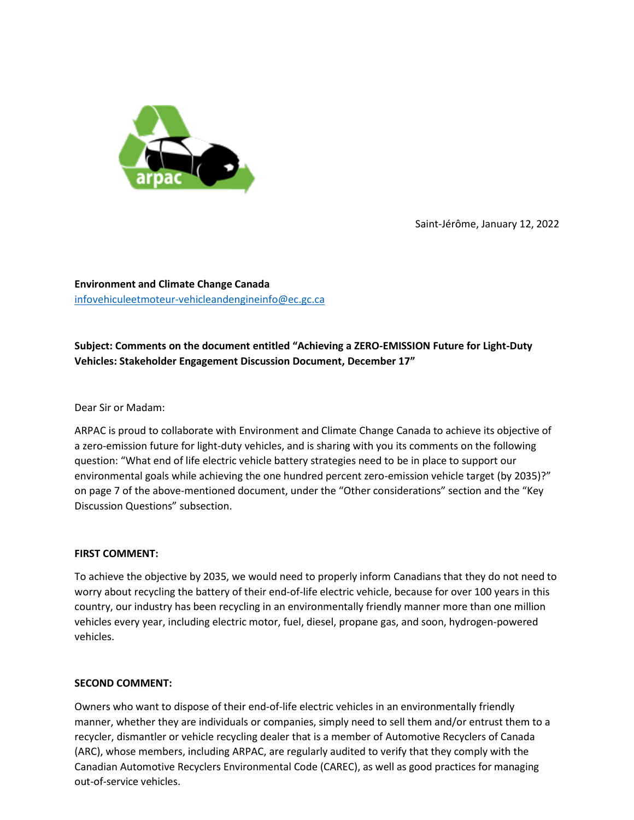

Saint-Jérôme, January 12, 2022

**Environment and Climate Change Canada** [infovehiculeetmoteur-vehicleandengineinfo@ec.gc.ca](mailto:infovehiculeetmoteur-vehicleandengineinfo@ec.gc.ca)

# **Subject: Comments on the document entitled "Achieving a ZERO-EMISSION Future for Light-Duty Vehicles: Stakeholder Engagement Discussion Document, December 17"**

## Dear Sir or Madam:

ARPAC is proud to collaborate with Environment and Climate Change Canada to achieve its objective of a zero-emission future for light-duty vehicles, and is sharing with you its comments on the following question: "What end of life electric vehicle battery strategies need to be in place to support our environmental goals while achieving the one hundred percent zero-emission vehicle target (by 2035)?" on page 7 of the above-mentioned document, under the "Other considerations" section and the "Key Discussion Questions" subsection.

## **FIRST COMMENT:**

To achieve the objective by 2035, we would need to properly inform Canadians that they do not need to worry about recycling the battery of their end-of-life electric vehicle, because for over 100 years in this country, our industry has been recycling in an environmentally friendly manner more than one million vehicles every year, including electric motor, fuel, diesel, propane gas, and soon, hydrogen-powered vehicles.

#### **SECOND COMMENT:**

Owners who want to dispose of their end-of-life electric vehicles in an environmentally friendly manner, whether they are individuals or companies, simply need to sell them and/or entrust them to a recycler, dismantler or vehicle recycling dealer that is a member of Automotive Recyclers of Canada (ARC), whose members, including ARPAC, are regularly audited to verify that they comply with the Canadian Automotive Recyclers Environmental Code (CAREC), as well as good practices for managing out-of-service vehicles.